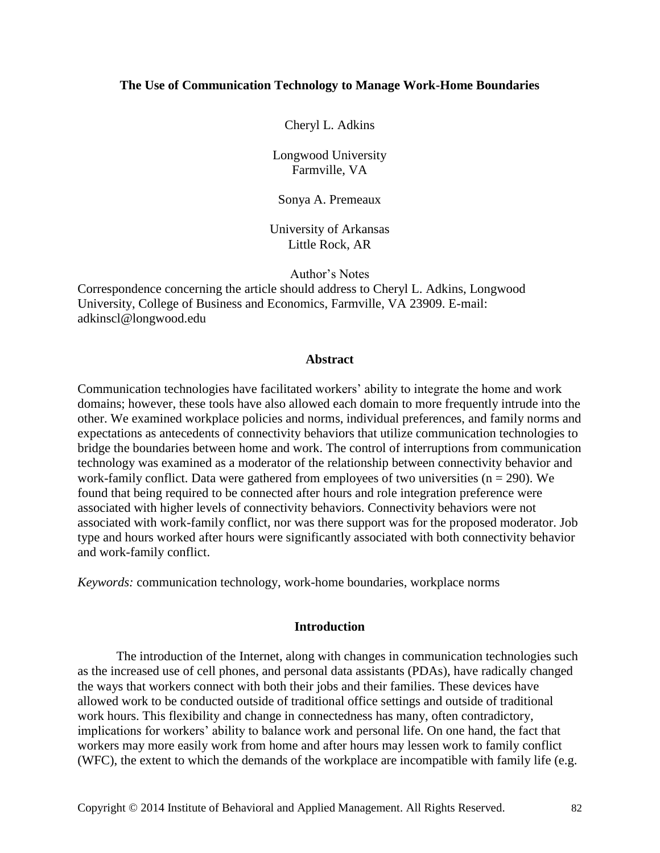### **The Use of Communication Technology to Manage Work-Home Boundaries**

Cheryl L. Adkins

Longwood University Farmville, VA

Sonya A. Premeaux

University of Arkansas Little Rock, AR

Author's Notes

Correspondence concerning the article should address to Cheryl L. Adkins, Longwood University, College of Business and Economics, Farmville, VA 23909. E-mail: adkinscl@longwood.edu

#### **Abstract**

Communication technologies have facilitated workers' ability to integrate the home and work domains; however, these tools have also allowed each domain to more frequently intrude into the other. We examined workplace policies and norms, individual preferences, and family norms and expectations as antecedents of connectivity behaviors that utilize communication technologies to bridge the boundaries between home and work. The control of interruptions from communication technology was examined as a moderator of the relationship between connectivity behavior and work-family conflict. Data were gathered from employees of two universities  $(n = 290)$ . We found that being required to be connected after hours and role integration preference were associated with higher levels of connectivity behaviors. Connectivity behaviors were not associated with work-family conflict, nor was there support was for the proposed moderator. Job type and hours worked after hours were significantly associated with both connectivity behavior and work-family conflict.

*Keywords:* communication technology, work-home boundaries, workplace norms

### **Introduction**

The introduction of the Internet, along with changes in communication technologies such as the increased use of cell phones, and personal data assistants (PDAs), have radically changed the ways that workers connect with both their jobs and their families. These devices have allowed work to be conducted outside of traditional office settings and outside of traditional work hours. This flexibility and change in connectedness has many, often contradictory, implications for workers' ability to balance work and personal life. On one hand, the fact that workers may more easily work from home and after hours may lessen work to family conflict (WFC), the extent to which the demands of the workplace are incompatible with family life (e.g.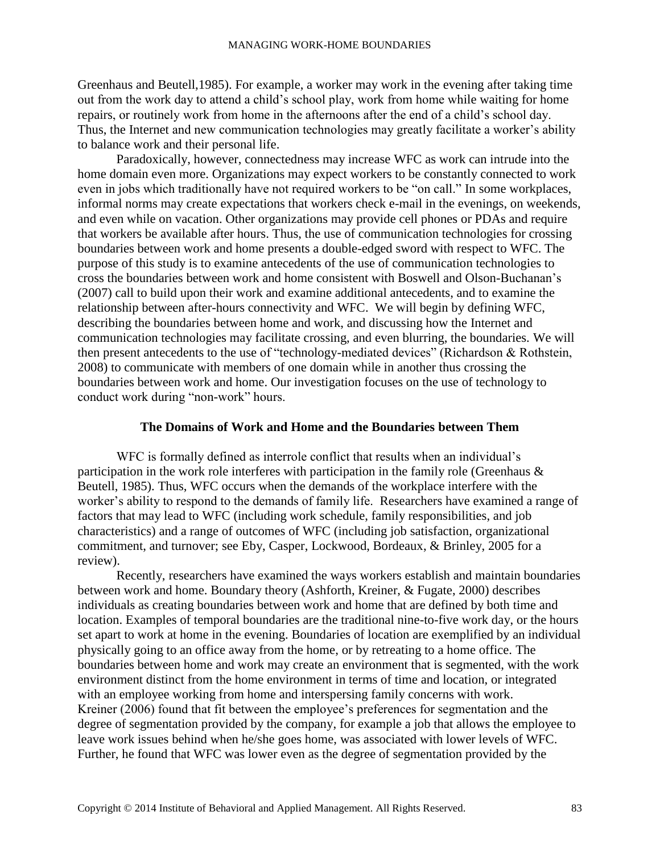Greenhaus and Beutell,1985). For example, a worker may work in the evening after taking time out from the work day to attend a child's school play, work from home while waiting for home repairs, or routinely work from home in the afternoons after the end of a child's school day. Thus, the Internet and new communication technologies may greatly facilitate a worker's ability to balance work and their personal life.

Paradoxically, however, connectedness may increase WFC as work can intrude into the home domain even more. Organizations may expect workers to be constantly connected to work even in jobs which traditionally have not required workers to be "on call." In some workplaces, informal norms may create expectations that workers check e-mail in the evenings, on weekends, and even while on vacation. Other organizations may provide cell phones or PDAs and require that workers be available after hours. Thus, the use of communication technologies for crossing boundaries between work and home presents a double-edged sword with respect to WFC. The purpose of this study is to examine antecedents of the use of communication technologies to cross the boundaries between work and home consistent with Boswell and Olson-Buchanan's (2007) call to build upon their work and examine additional antecedents, and to examine the relationship between after-hours connectivity and WFC. We will begin by defining WFC, describing the boundaries between home and work, and discussing how the Internet and communication technologies may facilitate crossing, and even blurring, the boundaries. We will then present antecedents to the use of "technology-mediated devices" (Richardson & Rothstein, 2008) to communicate with members of one domain while in another thus crossing the boundaries between work and home. Our investigation focuses on the use of technology to conduct work during "non-work" hours.

# **The Domains of Work and Home and the Boundaries between Them**

WFC is formally defined as interrole conflict that results when an individual's participation in the work role interferes with participation in the family role (Greenhaus & Beutell, 1985). Thus, WFC occurs when the demands of the workplace interfere with the worker's ability to respond to the demands of family life. Researchers have examined a range of factors that may lead to WFC (including work schedule, family responsibilities, and job characteristics) and a range of outcomes of WFC (including job satisfaction, organizational commitment, and turnover; see Eby, Casper, Lockwood, Bordeaux, & Brinley, 2005 for a review).

Recently, researchers have examined the ways workers establish and maintain boundaries between work and home. Boundary theory (Ashforth, Kreiner, & Fugate, 2000) describes individuals as creating boundaries between work and home that are defined by both time and location. Examples of temporal boundaries are the traditional nine-to-five work day, or the hours set apart to work at home in the evening. Boundaries of location are exemplified by an individual physically going to an office away from the home, or by retreating to a home office. The boundaries between home and work may create an environment that is segmented, with the work environment distinct from the home environment in terms of time and location, or integrated with an employee working from home and interspersing family concerns with work. Kreiner (2006) found that fit between the employee's preferences for segmentation and the degree of segmentation provided by the company, for example a job that allows the employee to leave work issues behind when he/she goes home, was associated with lower levels of WFC. Further, he found that WFC was lower even as the degree of segmentation provided by the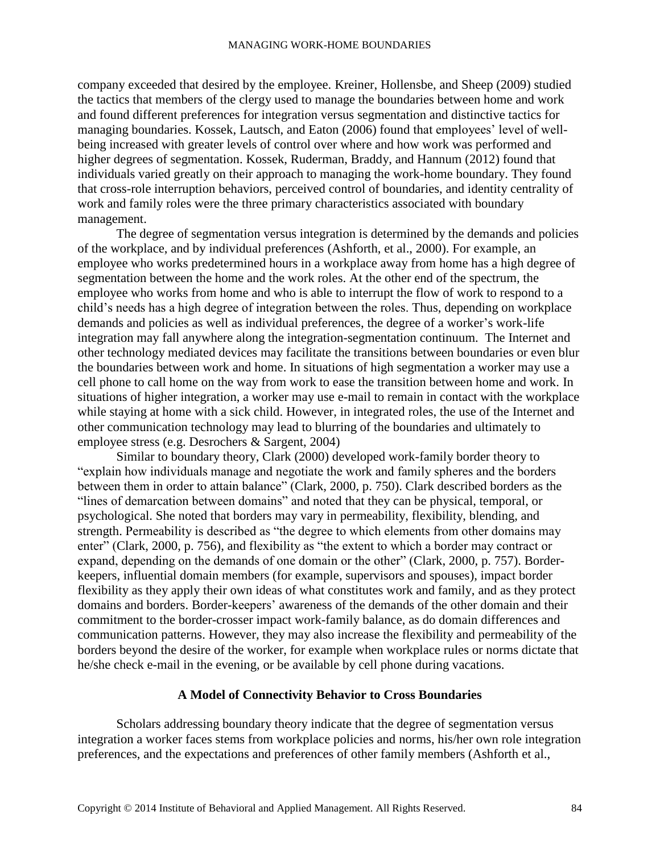company exceeded that desired by the employee. Kreiner, Hollensbe, and Sheep (2009) studied the tactics that members of the clergy used to manage the boundaries between home and work and found different preferences for integration versus segmentation and distinctive tactics for managing boundaries. Kossek, Lautsch, and Eaton (2006) found that employees' level of wellbeing increased with greater levels of control over where and how work was performed and higher degrees of segmentation. Kossek, Ruderman, Braddy, and Hannum (2012) found that individuals varied greatly on their approach to managing the work-home boundary. They found that cross-role interruption behaviors, perceived control of boundaries, and identity centrality of work and family roles were the three primary characteristics associated with boundary management.

The degree of segmentation versus integration is determined by the demands and policies of the workplace, and by individual preferences (Ashforth, et al., 2000). For example, an employee who works predetermined hours in a workplace away from home has a high degree of segmentation between the home and the work roles. At the other end of the spectrum, the employee who works from home and who is able to interrupt the flow of work to respond to a child's needs has a high degree of integration between the roles. Thus, depending on workplace demands and policies as well as individual preferences, the degree of a worker's work-life integration may fall anywhere along the integration-segmentation continuum. The Internet and other technology mediated devices may facilitate the transitions between boundaries or even blur the boundaries between work and home. In situations of high segmentation a worker may use a cell phone to call home on the way from work to ease the transition between home and work. In situations of higher integration, a worker may use e-mail to remain in contact with the workplace while staying at home with a sick child. However, in integrated roles, the use of the Internet and other communication technology may lead to blurring of the boundaries and ultimately to employee stress (e.g. Desrochers & Sargent, 2004)

Similar to boundary theory, Clark (2000) developed work-family border theory to "explain how individuals manage and negotiate the work and family spheres and the borders between them in order to attain balance" (Clark, 2000, p. 750). Clark described borders as the "lines of demarcation between domains" and noted that they can be physical, temporal, or psychological. She noted that borders may vary in permeability, flexibility, blending, and strength. Permeability is described as "the degree to which elements from other domains may enter" (Clark, 2000, p. 756), and flexibility as "the extent to which a border may contract or expand, depending on the demands of one domain or the other" (Clark, 2000, p. 757). Borderkeepers, influential domain members (for example, supervisors and spouses), impact border flexibility as they apply their own ideas of what constitutes work and family, and as they protect domains and borders. Border-keepers' awareness of the demands of the other domain and their commitment to the border-crosser impact work-family balance, as do domain differences and communication patterns. However, they may also increase the flexibility and permeability of the borders beyond the desire of the worker, for example when workplace rules or norms dictate that he/she check e-mail in the evening, or be available by cell phone during vacations.

### **A Model of Connectivity Behavior to Cross Boundaries**

Scholars addressing boundary theory indicate that the degree of segmentation versus integration a worker faces stems from workplace policies and norms, his/her own role integration preferences, and the expectations and preferences of other family members (Ashforth et al.,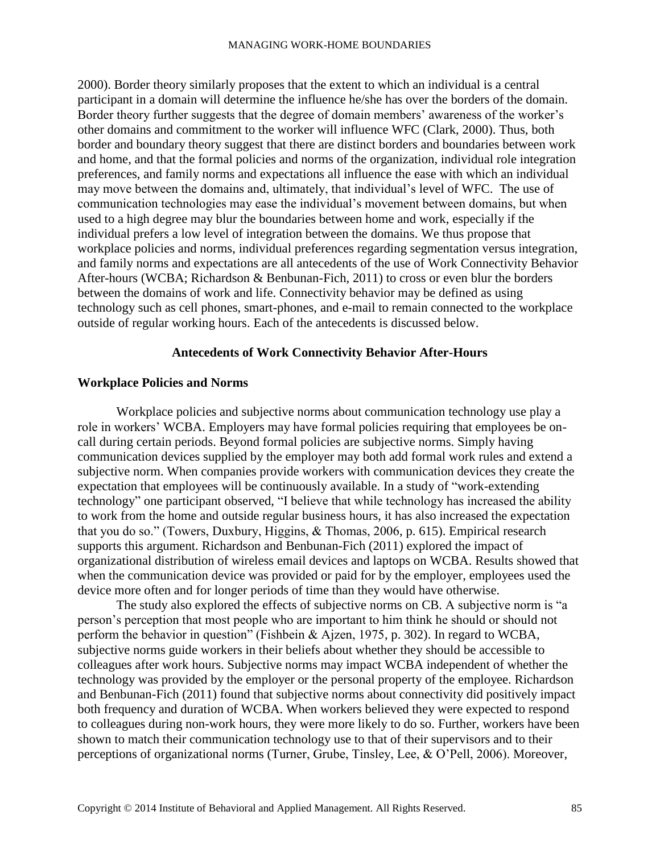2000). Border theory similarly proposes that the extent to which an individual is a central participant in a domain will determine the influence he/she has over the borders of the domain. Border theory further suggests that the degree of domain members' awareness of the worker's other domains and commitment to the worker will influence WFC (Clark, 2000). Thus, both border and boundary theory suggest that there are distinct borders and boundaries between work and home, and that the formal policies and norms of the organization, individual role integration preferences, and family norms and expectations all influence the ease with which an individual may move between the domains and, ultimately, that individual's level of WFC. The use of communication technologies may ease the individual's movement between domains, but when used to a high degree may blur the boundaries between home and work, especially if the individual prefers a low level of integration between the domains. We thus propose that workplace policies and norms, individual preferences regarding segmentation versus integration, and family norms and expectations are all antecedents of the use of Work Connectivity Behavior After-hours (WCBA; Richardson & Benbunan-Fich, 2011) to cross or even blur the borders between the domains of work and life. Connectivity behavior may be defined as using technology such as cell phones, smart-phones, and e-mail to remain connected to the workplace outside of regular working hours. Each of the antecedents is discussed below.

# **Antecedents of Work Connectivity Behavior After-Hours**

# **Workplace Policies and Norms**

Workplace policies and subjective norms about communication technology use play a role in workers' WCBA. Employers may have formal policies requiring that employees be oncall during certain periods. Beyond formal policies are subjective norms. Simply having communication devices supplied by the employer may both add formal work rules and extend a subjective norm. When companies provide workers with communication devices they create the expectation that employees will be continuously available. In a study of "work-extending technology" one participant observed, "I believe that while technology has increased the ability to work from the home and outside regular business hours, it has also increased the expectation that you do so." (Towers, Duxbury, Higgins, & Thomas, 2006, p. 615). Empirical research supports this argument. Richardson and Benbunan-Fich (2011) explored the impact of organizational distribution of wireless email devices and laptops on WCBA. Results showed that when the communication device was provided or paid for by the employer, employees used the device more often and for longer periods of time than they would have otherwise.

The study also explored the effects of subjective norms on CB. A subjective norm is "a person's perception that most people who are important to him think he should or should not perform the behavior in question" (Fishbein & Ajzen, 1975, p. 302). In regard to WCBA, subjective norms guide workers in their beliefs about whether they should be accessible to colleagues after work hours. Subjective norms may impact WCBA independent of whether the technology was provided by the employer or the personal property of the employee. Richardson and Benbunan-Fich (2011) found that subjective norms about connectivity did positively impact both frequency and duration of WCBA. When workers believed they were expected to respond to colleagues during non-work hours, they were more likely to do so. Further, workers have been shown to match their communication technology use to that of their supervisors and to their perceptions of organizational norms (Turner, Grube, Tinsley, Lee, & O'Pell, 2006). Moreover,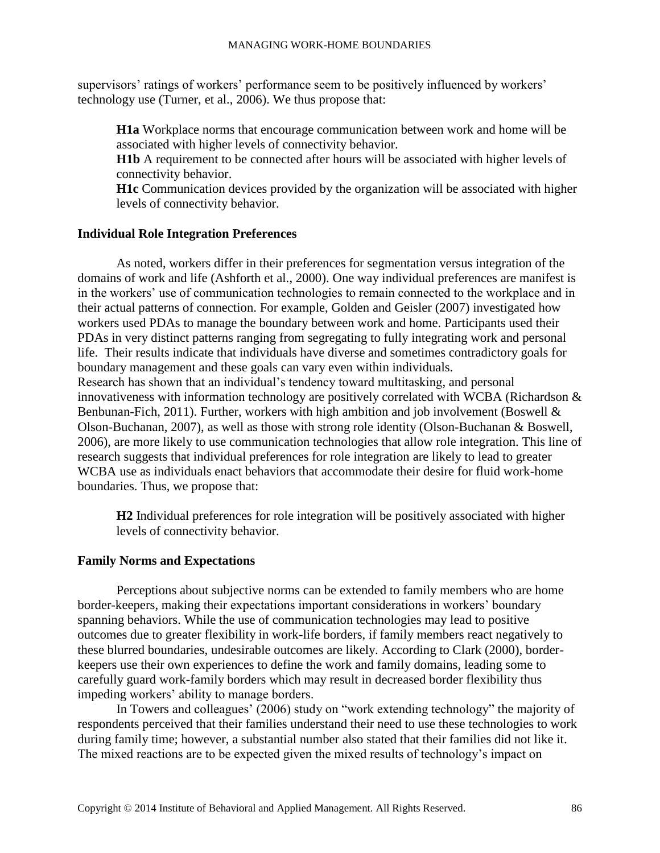supervisors' ratings of workers' performance seem to be positively influenced by workers' technology use (Turner, et al., 2006). We thus propose that:

**H1a** Workplace norms that encourage communication between work and home will be associated with higher levels of connectivity behavior.

**H1b** A requirement to be connected after hours will be associated with higher levels of connectivity behavior.

**H1c** Communication devices provided by the organization will be associated with higher levels of connectivity behavior.

# **Individual Role Integration Preferences**

As noted, workers differ in their preferences for segmentation versus integration of the domains of work and life (Ashforth et al., 2000). One way individual preferences are manifest is in the workers' use of communication technologies to remain connected to the workplace and in their actual patterns of connection. For example, Golden and Geisler (2007) investigated how workers used PDAs to manage the boundary between work and home. Participants used their PDAs in very distinct patterns ranging from segregating to fully integrating work and personal life. Their results indicate that individuals have diverse and sometimes contradictory goals for boundary management and these goals can vary even within individuals. Research has shown that an individual's tendency toward multitasking, and personal innovativeness with information technology are positively correlated with WCBA (Richardson & Benbunan-Fich, 2011). Further, workers with high ambition and job involvement (Boswell & Olson-Buchanan, 2007), as well as those with strong role identity (Olson-Buchanan & Boswell, 2006), are more likely to use communication technologies that allow role integration. This line of research suggests that individual preferences for role integration are likely to lead to greater WCBA use as individuals enact behaviors that accommodate their desire for fluid work-home boundaries. Thus, we propose that:

**H2** Individual preferences for role integration will be positively associated with higher levels of connectivity behavior.

### **Family Norms and Expectations**

Perceptions about subjective norms can be extended to family members who are home border-keepers, making their expectations important considerations in workers' boundary spanning behaviors. While the use of communication technologies may lead to positive outcomes due to greater flexibility in work-life borders, if family members react negatively to these blurred boundaries, undesirable outcomes are likely. According to Clark (2000), borderkeepers use their own experiences to define the work and family domains, leading some to carefully guard work-family borders which may result in decreased border flexibility thus impeding workers' ability to manage borders.

In Towers and colleagues' (2006) study on "work extending technology" the majority of respondents perceived that their families understand their need to use these technologies to work during family time; however, a substantial number also stated that their families did not like it. The mixed reactions are to be expected given the mixed results of technology's impact on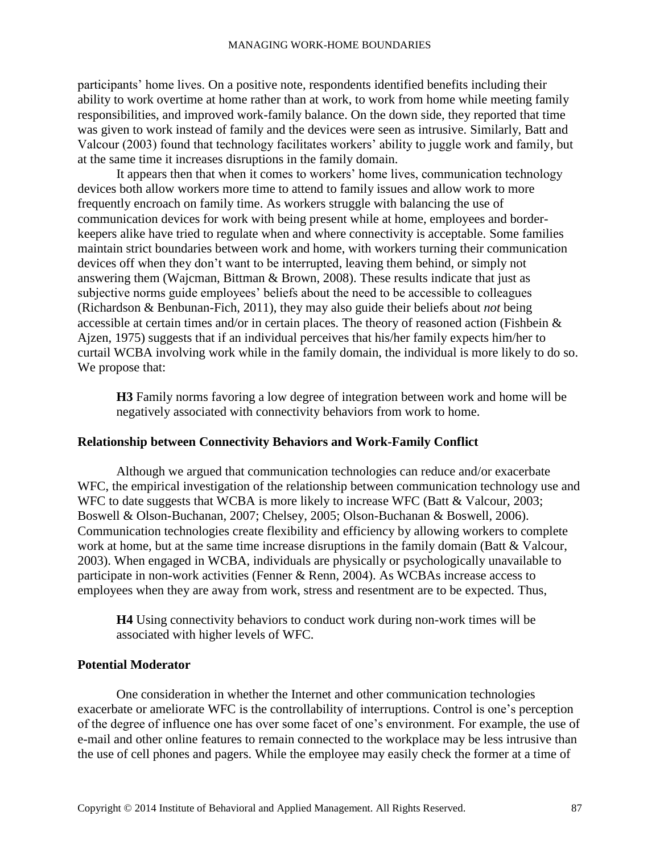participants' home lives. On a positive note, respondents identified benefits including their ability to work overtime at home rather than at work, to work from home while meeting family responsibilities, and improved work-family balance. On the down side, they reported that time was given to work instead of family and the devices were seen as intrusive. Similarly, Batt and Valcour (2003) found that technology facilitates workers' ability to juggle work and family, but at the same time it increases disruptions in the family domain.

It appears then that when it comes to workers' home lives, communication technology devices both allow workers more time to attend to family issues and allow work to more frequently encroach on family time. As workers struggle with balancing the use of communication devices for work with being present while at home, employees and borderkeepers alike have tried to regulate when and where connectivity is acceptable. Some families maintain strict boundaries between work and home, with workers turning their communication devices off when they don't want to be interrupted, leaving them behind, or simply not answering them (Wajcman, Bittman & Brown, 2008). These results indicate that just as subjective norms guide employees' beliefs about the need to be accessible to colleagues (Richardson & Benbunan-Fich, 2011), they may also guide their beliefs about *not* being accessible at certain times and/or in certain places. The theory of reasoned action (Fishbein & Ajzen, 1975) suggests that if an individual perceives that his/her family expects him/her to curtail WCBA involving work while in the family domain, the individual is more likely to do so. We propose that:

**H3** Family norms favoring a low degree of integration between work and home will be negatively associated with connectivity behaviors from work to home.

### **Relationship between Connectivity Behaviors and Work-Family Conflict**

Although we argued that communication technologies can reduce and/or exacerbate WFC, the empirical investigation of the relationship between communication technology use and WFC to date suggests that WCBA is more likely to increase WFC (Batt & Valcour, 2003; Boswell & Olson-Buchanan, 2007; Chelsey, 2005; Olson-Buchanan & Boswell, 2006). Communication technologies create flexibility and efficiency by allowing workers to complete work at home, but at the same time increase disruptions in the family domain (Batt & Valcour, 2003). When engaged in WCBA, individuals are physically or psychologically unavailable to participate in non-work activities (Fenner & Renn, 2004). As WCBAs increase access to employees when they are away from work, stress and resentment are to be expected. Thus,

**H4** Using connectivity behaviors to conduct work during non-work times will be associated with higher levels of WFC.

# **Potential Moderator**

One consideration in whether the Internet and other communication technologies exacerbate or ameliorate WFC is the controllability of interruptions. Control is one's perception of the degree of influence one has over some facet of one's environment. For example, the use of e-mail and other online features to remain connected to the workplace may be less intrusive than the use of cell phones and pagers. While the employee may easily check the former at a time of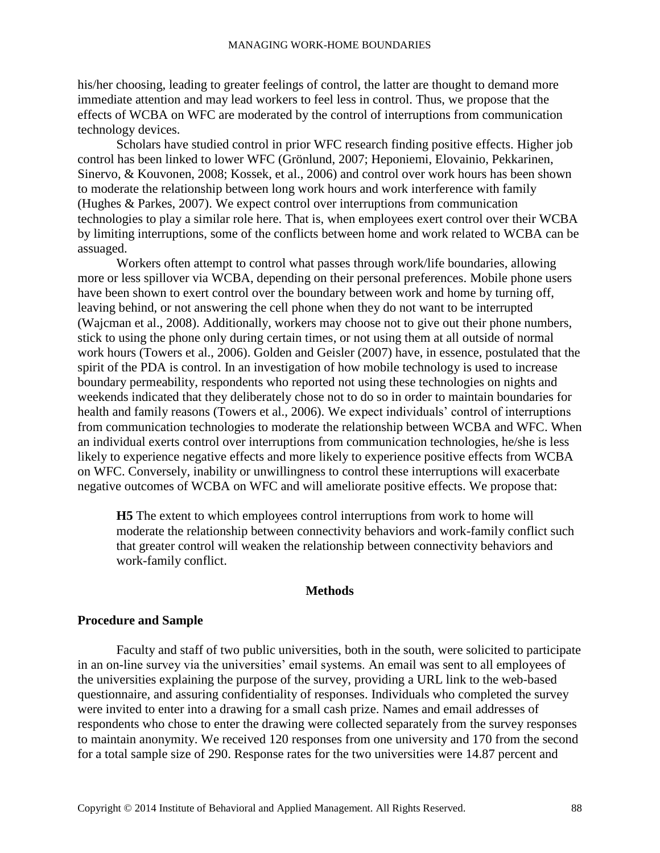his/her choosing, leading to greater feelings of control, the latter are thought to demand more immediate attention and may lead workers to feel less in control. Thus, we propose that the effects of WCBA on WFC are moderated by the control of interruptions from communication technology devices.

Scholars have studied control in prior WFC research finding positive effects. Higher job control has been linked to lower WFC (Grönlund, 2007; Heponiemi, Elovainio, Pekkarinen, Sinervo, & Kouvonen, 2008; Kossek, et al., 2006) and control over work hours has been shown to moderate the relationship between long work hours and work interference with family (Hughes & Parkes, 2007). We expect control over interruptions from communication technologies to play a similar role here. That is, when employees exert control over their WCBA by limiting interruptions, some of the conflicts between home and work related to WCBA can be assuaged.

Workers often attempt to control what passes through work/life boundaries, allowing more or less spillover via WCBA, depending on their personal preferences. Mobile phone users have been shown to exert control over the boundary between work and home by turning off, leaving behind, or not answering the cell phone when they do not want to be interrupted (Wajcman et al., 2008). Additionally, workers may choose not to give out their phone numbers, stick to using the phone only during certain times, or not using them at all outside of normal work hours (Towers et al., 2006). Golden and Geisler (2007) have, in essence, postulated that the spirit of the PDA is control. In an investigation of how mobile technology is used to increase boundary permeability, respondents who reported not using these technologies on nights and weekends indicated that they deliberately chose not to do so in order to maintain boundaries for health and family reasons (Towers et al., 2006). We expect individuals' control of interruptions from communication technologies to moderate the relationship between WCBA and WFC. When an individual exerts control over interruptions from communication technologies, he/she is less likely to experience negative effects and more likely to experience positive effects from WCBA on WFC. Conversely, inability or unwillingness to control these interruptions will exacerbate negative outcomes of WCBA on WFC and will ameliorate positive effects. We propose that:

**H5** The extent to which employees control interruptions from work to home will moderate the relationship between connectivity behaviors and work-family conflict such that greater control will weaken the relationship between connectivity behaviors and work-family conflict.

### **Methods**

### **Procedure and Sample**

Faculty and staff of two public universities, both in the south, were solicited to participate in an on-line survey via the universities' email systems. An email was sent to all employees of the universities explaining the purpose of the survey, providing a URL link to the web-based questionnaire, and assuring confidentiality of responses. Individuals who completed the survey were invited to enter into a drawing for a small cash prize. Names and email addresses of respondents who chose to enter the drawing were collected separately from the survey responses to maintain anonymity. We received 120 responses from one university and 170 from the second for a total sample size of 290. Response rates for the two universities were 14.87 percent and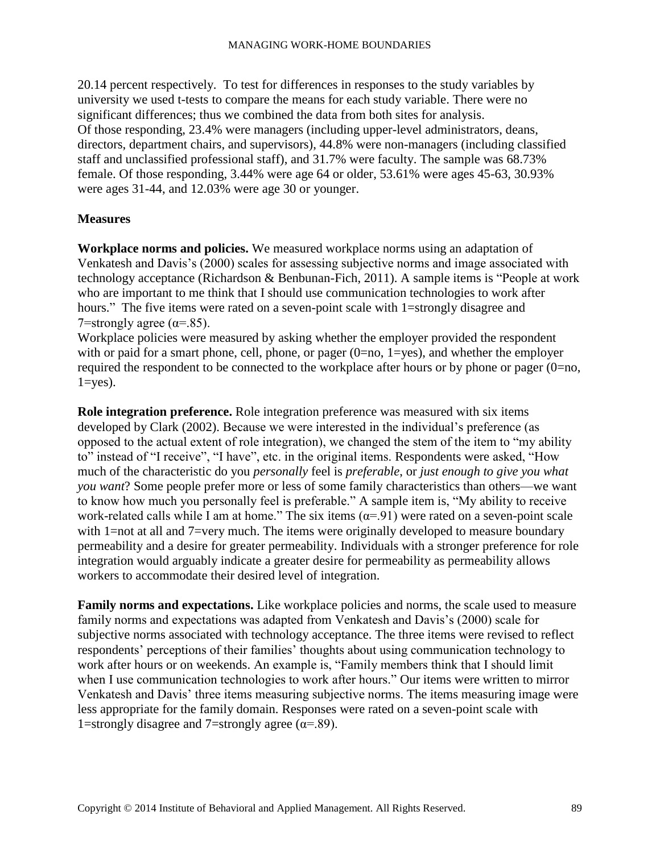20.14 percent respectively. To test for differences in responses to the study variables by university we used t-tests to compare the means for each study variable. There were no significant differences; thus we combined the data from both sites for analysis. Of those responding, 23.4% were managers (including upper-level administrators, deans, directors, department chairs, and supervisors), 44.8% were non-managers (including classified staff and unclassified professional staff), and 31.7% were faculty. The sample was 68.73% female. Of those responding, 3.44% were age 64 or older, 53.61% were ages 45-63, 30.93% were ages 31-44, and 12.03% were age 30 or younger.

# **Measures**

**Workplace norms and policies.** We measured workplace norms using an adaptation of Venkatesh and Davis's (2000) scales for assessing subjective norms and image associated with technology acceptance (Richardson & Benbunan-Fich, 2011). A sample items is "People at work who are important to me think that I should use communication technologies to work after hours." The five items were rated on a seven-point scale with 1=strongly disagree and 7=strongly agree ( $\alpha$ =.85).

Workplace policies were measured by asking whether the employer provided the respondent with or paid for a smart phone, cell, phone, or pager  $(0=no, 1=yes)$ , and whether the employer required the respondent to be connected to the workplace after hours or by phone or pager (0=no,  $1 = yes$ ).

**Role integration preference.** Role integration preference was measured with six items developed by Clark (2002). Because we were interested in the individual's preference (as opposed to the actual extent of role integration), we changed the stem of the item to "my ability to" instead of "I receive", "I have", etc. in the original items. Respondents were asked, "How much of the characteristic do you *personally* feel is *preferable*, or *just enough to give you what you want*? Some people prefer more or less of some family characteristics than others—we want to know how much you personally feel is preferable." A sample item is, "My ability to receive work-related calls while I am at home." The six items  $(\alpha = 91)$  were rated on a seven-point scale with 1=not at all and 7=very much. The items were originally developed to measure boundary permeability and a desire for greater permeability. Individuals with a stronger preference for role integration would arguably indicate a greater desire for permeability as permeability allows workers to accommodate their desired level of integration.

**Family norms and expectations.** Like workplace policies and norms, the scale used to measure family norms and expectations was adapted from Venkatesh and Davis's (2000) scale for subjective norms associated with technology acceptance. The three items were revised to reflect respondents' perceptions of their families' thoughts about using communication technology to work after hours or on weekends. An example is, "Family members think that I should limit when I use communication technologies to work after hours." Our items were written to mirror Venkatesh and Davis' three items measuring subjective norms. The items measuring image were less appropriate for the family domain. Responses were rated on a seven-point scale with 1=strongly disagree and 7=strongly agree ( $\alpha$ =.89).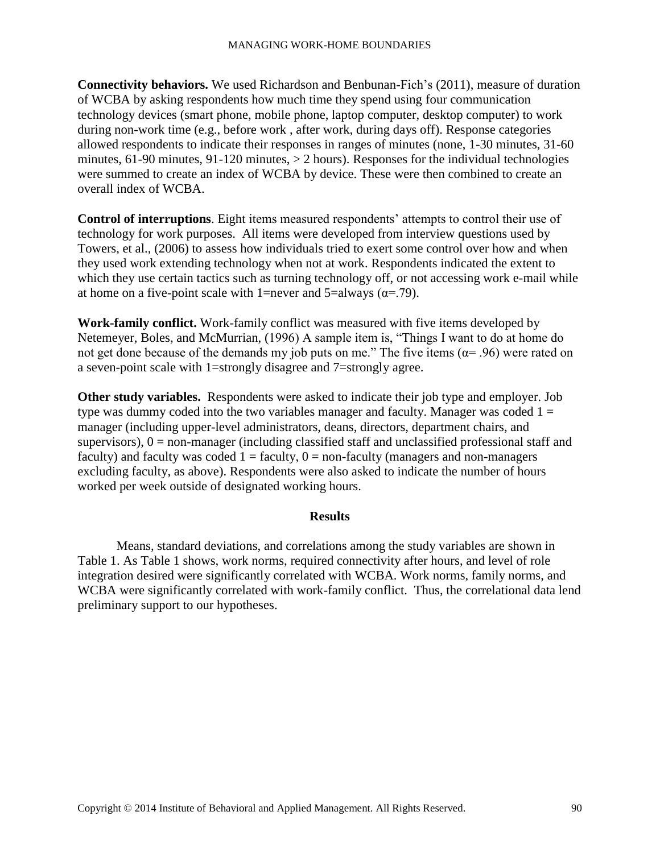**Connectivity behaviors.** We used Richardson and Benbunan-Fich's (2011), measure of duration of WCBA by asking respondents how much time they spend using four communication technology devices (smart phone, mobile phone, laptop computer, desktop computer) to work during non-work time (e.g., before work , after work, during days off). Response categories allowed respondents to indicate their responses in ranges of minutes (none, 1-30 minutes, 31-60 minutes, 61-90 minutes, 91-120 minutes, > 2 hours). Responses for the individual technologies were summed to create an index of WCBA by device. These were then combined to create an overall index of WCBA.

**Control of interruptions**. Eight items measured respondents' attempts to control their use of technology for work purposes. All items were developed from interview questions used by Towers, et al., (2006) to assess how individuals tried to exert some control over how and when they used work extending technology when not at work. Respondents indicated the extent to which they use certain tactics such as turning technology off, or not accessing work e-mail while at home on a five-point scale with 1=never and 5=always ( $\alpha$ =.79).

**Work-family conflict.** Work-family conflict was measured with five items developed by Netemeyer, Boles, and McMurrian, (1996) A sample item is, "Things I want to do at home do not get done because of the demands my job puts on me." The five items ( $\alpha$ = .96) were rated on a seven-point scale with 1=strongly disagree and 7=strongly agree.

**Other study variables.** Respondents were asked to indicate their job type and employer. Job type was dummy coded into the two variables manager and faculty. Manager was coded  $1 =$ manager (including upper-level administrators, deans, directors, department chairs, and supervisors),  $0 =$  non-manager (including classified staff and unclassified professional staff and faculty) and faculty was coded  $1 =$  faculty,  $0 =$  non-faculty (managers and non-managers excluding faculty, as above). Respondents were also asked to indicate the number of hours worked per week outside of designated working hours.

# **Results**

Means, standard deviations, and correlations among the study variables are shown in Table 1. As Table 1 shows, work norms, required connectivity after hours, and level of role integration desired were significantly correlated with WCBA. Work norms, family norms, and WCBA were significantly correlated with work-family conflict. Thus, the correlational data lend preliminary support to our hypotheses.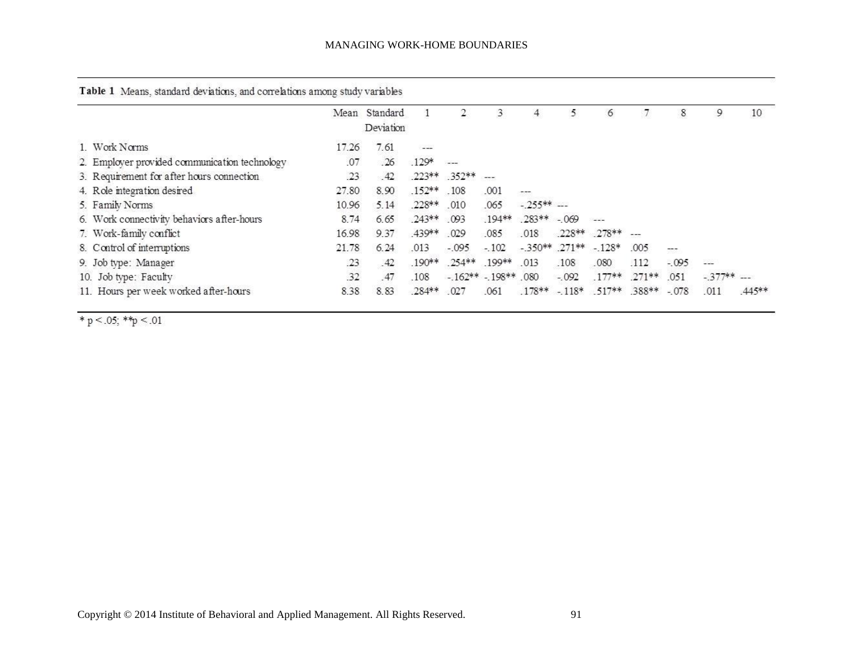|  |  |  |  |  | Table 1 Means, standard deviations, and correlations among study variables |  |  |  |
|--|--|--|--|--|----------------------------------------------------------------------------|--|--|--|
|--|--|--|--|--|----------------------------------------------------------------------------|--|--|--|

|                                               |       | Mean Standard<br>Deviation |                |                      | 3             | 4                            |         | 6                               |      | 8           | 9            | 10    |
|-----------------------------------------------|-------|----------------------------|----------------|----------------------|---------------|------------------------------|---------|---------------------------------|------|-------------|--------------|-------|
| 1. Work Norms                                 | 17.26 | 7.61                       |                |                      |               |                              |         |                                 |      |             |              |       |
| 2. Employer provided communication technology | .07   | .26                        | $.129*$        | $---$                |               |                              |         |                                 |      |             |              |       |
| 3. Requirement for after hours connection     | .23   | .42                        |                | $.223***$ $.352**$   | $\sim$ $\sim$ |                              |         |                                 |      |             |              |       |
| 4. Role integration desired                   | 27.80 | 8.90                       | .152**         | .108                 | .001          | $---$                        |         |                                 |      |             |              |       |
| 5. Family Norms                               | 10.96 | 5.14                       | .228** .010    |                      | .065          | $-255***$                    |         |                                 |      |             |              |       |
| 6. Work connectivity behaviors after-hours    | 8.74  | 6.65                       | .243** .093    |                      |               | $.194***$ $.283**$ $-.069$   |         |                                 |      |             |              |       |
| 7. Work-family conflict                       | 16.98 | 9.37                       | .439**         | .029                 | .085          | .018                         |         | 228** 278** ---                 |      |             |              |       |
| 8. Control of interruptions                   | 21.78 | 6.24                       | .013           | $-.095$              | $-.102$       | $-350***$ $.271***$ $-.128*$ |         |                                 | .005 | $\pi\pi\pi$ |              |       |
| 9. Job type: Manager                          | .23   | .42                        |                | .190** .254** .199** |               | .013                         | .108    | .080                            | .112 | $-.095$     |              |       |
| 10. Job type: Faculty                         | 32    | 47                         | .108           | $-162** - 198**$ 080 |               |                              | $-.092$ | $.177***$ $.271***$             |      | 051         | $-377**$ --- |       |
| 11. Hours per week worked after-hours         | 8.38  | 8.83                       | $.284***$ .027 |                      | .061          |                              |         | $.178** - 118* - 517** - 388**$ |      | $-078$      | .011         | 445** |

\* p < .05; \*\* p < .01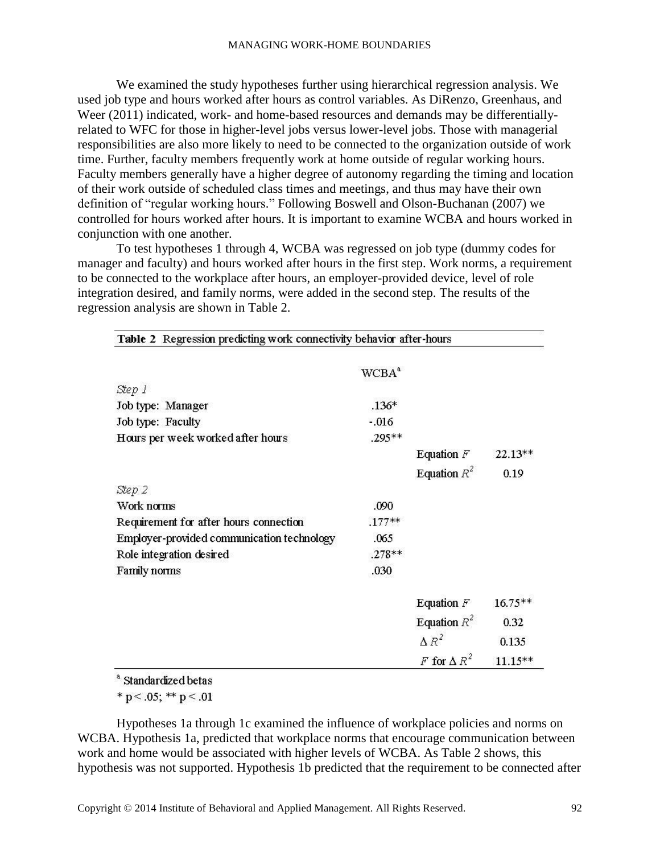We examined the study hypotheses further using hierarchical regression analysis. We used job type and hours worked after hours as control variables. As DiRenzo, Greenhaus, and Weer (2011) indicated, work- and home-based resources and demands may be differentiallyrelated to WFC for those in higher-level jobs versus lower-level jobs. Those with managerial responsibilities are also more likely to need to be connected to the organization outside of work time. Further, faculty members frequently work at home outside of regular working hours. Faculty members generally have a higher degree of autonomy regarding the timing and location of their work outside of scheduled class times and meetings, and thus may have their own definition of "regular working hours." Following Boswell and Olson-Buchanan (2007) we controlled for hours worked after hours. It is important to examine WCBA and hours worked in conjunction with one another.

To test hypotheses 1 through 4, WCBA was regressed on job type (dummy codes for manager and faculty) and hours worked after hours in the first step. Work norms, a requirement to be connected to the workplace after hours, an employer-provided device, level of role integration desired, and family norms, were added in the second step. The results of the regression analysis are shown in Table 2.

| Table 2 Regression predicting work connectivity behavior after-hours |          |                    |            |
|----------------------------------------------------------------------|----------|--------------------|------------|
|                                                                      | $WCBA^a$ |                    |            |
| Step 1                                                               |          |                    |            |
| Job type: Manager                                                    | $.136*$  |                    |            |
| Job type: Faculty                                                    | $-.016$  |                    |            |
| Hours per week worked after hours                                    | .295**   |                    |            |
|                                                                      |          | Equation $F$       | $22.13**$  |
|                                                                      |          | Equation $R^2$     | 0.19       |
| Step 2                                                               |          |                    |            |
| Work norms                                                           | .090     |                    |            |
| Requirement for after hours connection                               | $.177**$ |                    |            |
| Employer-provided communication technology                           | .065     |                    |            |
| Role integration desired                                             | $.278**$ |                    |            |
| Family norms                                                         | .030     |                    |            |
|                                                                      |          | Equation $F$       | $16.75**$  |
|                                                                      |          | Equation $R^2$     | 0.32       |
|                                                                      |          | $\Delta R^2$       | 0.135      |
|                                                                      |          | F for $\Delta R^2$ | $11.15***$ |

<sup>a</sup> Standardized betas

\* p < .05; \*\* p < .01

Hypotheses 1a through 1c examined the influence of workplace policies and norms on WCBA. Hypothesis 1a, predicted that workplace norms that encourage communication between work and home would be associated with higher levels of WCBA. As Table 2 shows, this hypothesis was not supported. Hypothesis 1b predicted that the requirement to be connected after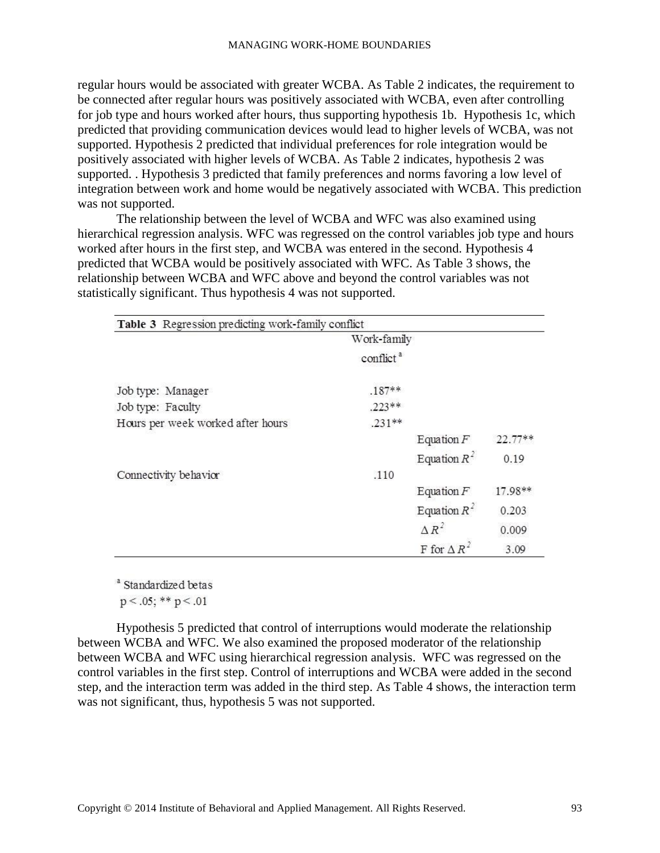regular hours would be associated with greater WCBA. As Table 2 indicates, the requirement to be connected after regular hours was positively associated with WCBA, even after controlling for job type and hours worked after hours, thus supporting hypothesis 1b. Hypothesis 1c, which predicted that providing communication devices would lead to higher levels of WCBA, was not supported. Hypothesis 2 predicted that individual preferences for role integration would be positively associated with higher levels of WCBA. As Table 2 indicates, hypothesis 2 was supported. . Hypothesis 3 predicted that family preferences and norms favoring a low level of integration between work and home would be negatively associated with WCBA. This prediction was not supported.

The relationship between the level of WCBA and WFC was also examined using hierarchical regression analysis. WFC was regressed on the control variables job type and hours worked after hours in the first step, and WCBA was entered in the second. Hypothesis 4 predicted that WCBA would be positively associated with WFC. As Table 3 shows, the relationship between WCBA and WFC above and beyond the control variables was not statistically significant. Thus hypothesis 4 was not supported.

| Table 3 Regression predicting work-family conflict |                       |                       |           |
|----------------------------------------------------|-----------------------|-----------------------|-----------|
|                                                    | Work-family           |                       |           |
|                                                    | conflict <sup>a</sup> |                       |           |
| Job type: Manager                                  | $.187**$              |                       |           |
| Job type: Faculty                                  | $.223**$              |                       |           |
| Hours per week worked after hours                  | $.231**$              |                       |           |
|                                                    |                       | Equation $F$          | 22.77**   |
|                                                    |                       | Equation $R^2$        | 0.19      |
| Connectivity behavior                              | .110                  |                       |           |
|                                                    |                       | Equation $F$          | $17.98**$ |
|                                                    |                       | Equation $R^2$        | 0.203     |
|                                                    |                       | $\Delta R^2$          | 0.009     |
|                                                    |                       | F for $\triangle R^2$ | 3.09      |

<sup>a</sup> Standardized betas

 $p < .05$ ; \*\*  $p < .01$ 

Hypothesis 5 predicted that control of interruptions would moderate the relationship between WCBA and WFC. We also examined the proposed moderator of the relationship between WCBA and WFC using hierarchical regression analysis. WFC was regressed on the control variables in the first step. Control of interruptions and WCBA were added in the second step, and the interaction term was added in the third step. As Table 4 shows, the interaction term was not significant, thus, hypothesis 5 was not supported.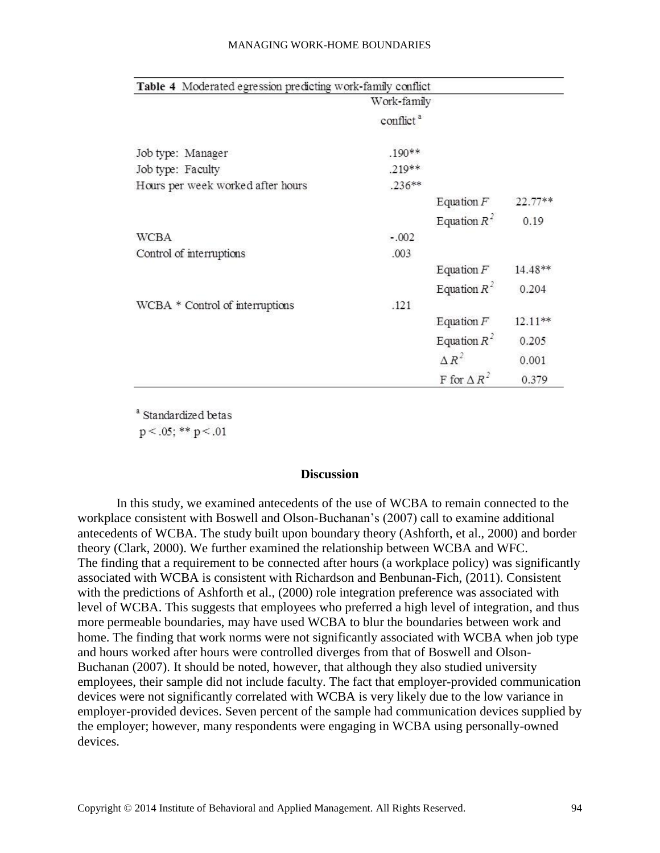#### MANAGING WORK-HOME BOUNDARIES

| Table 4 Moderated egression predicting work-family conflict |                       |                       |           |
|-------------------------------------------------------------|-----------------------|-----------------------|-----------|
|                                                             | Work-family           |                       |           |
|                                                             | conflict <sup>a</sup> |                       |           |
| Job type: Manager                                           | $.190**$              |                       |           |
| Job type: Faculty                                           | .219**                |                       |           |
| Hours per week worked after hours                           | $.236**$              |                       |           |
|                                                             |                       | Equation $F$          | $22.77**$ |
|                                                             |                       | Equation $R^2$        | 0.19      |
| <b>WCBA</b>                                                 | $-.002$               |                       |           |
| Control of interruptions                                    | .003                  |                       |           |
|                                                             |                       | Equation $F$          | 14.48**   |
|                                                             |                       | Equation $R^2$        | 0.204     |
| WCBA * Control of interruptions                             | .121                  |                       |           |
|                                                             |                       | Equation $F$          | $12.11**$ |
|                                                             |                       | Equation $R^2$        | 0.205     |
|                                                             |                       | $\Delta R^2$          | 0.001     |
|                                                             |                       | F for $\triangle R^2$ | 0.379     |

<sup>a</sup> Standardized betas

 $p < .05$ ; \*\*  $p < .01$ 

# **Discussion**

In this study, we examined antecedents of the use of WCBA to remain connected to the workplace consistent with Boswell and Olson-Buchanan's (2007) call to examine additional antecedents of WCBA. The study built upon boundary theory (Ashforth, et al., 2000) and border theory (Clark, 2000). We further examined the relationship between WCBA and WFC. The finding that a requirement to be connected after hours (a workplace policy) was significantly associated with WCBA is consistent with Richardson and Benbunan-Fich, (2011). Consistent with the predictions of Ashforth et al., (2000) role integration preference was associated with level of WCBA. This suggests that employees who preferred a high level of integration, and thus more permeable boundaries, may have used WCBA to blur the boundaries between work and home. The finding that work norms were not significantly associated with WCBA when job type and hours worked after hours were controlled diverges from that of Boswell and Olson-Buchanan (2007). It should be noted, however, that although they also studied university employees, their sample did not include faculty. The fact that employer-provided communication devices were not significantly correlated with WCBA is very likely due to the low variance in employer-provided devices. Seven percent of the sample had communication devices supplied by the employer; however, many respondents were engaging in WCBA using personally-owned devices.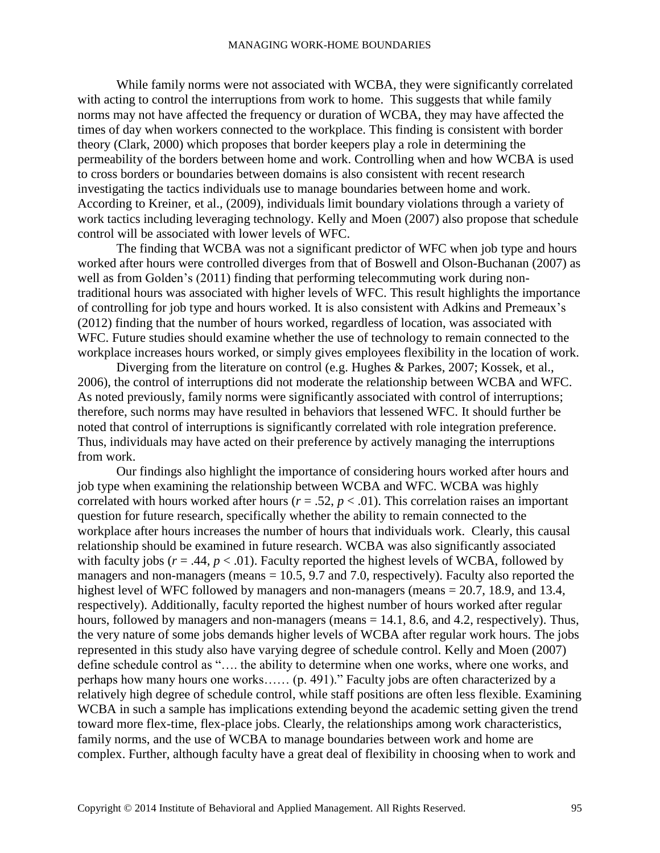While family norms were not associated with WCBA, they were significantly correlated with acting to control the interruptions from work to home. This suggests that while family norms may not have affected the frequency or duration of WCBA, they may have affected the times of day when workers connected to the workplace. This finding is consistent with border theory (Clark, 2000) which proposes that border keepers play a role in determining the permeability of the borders between home and work. Controlling when and how WCBA is used to cross borders or boundaries between domains is also consistent with recent research investigating the tactics individuals use to manage boundaries between home and work. According to Kreiner, et al., (2009), individuals limit boundary violations through a variety of work tactics including leveraging technology. Kelly and Moen (2007) also propose that schedule control will be associated with lower levels of WFC.

The finding that WCBA was not a significant predictor of WFC when job type and hours worked after hours were controlled diverges from that of Boswell and Olson-Buchanan (2007) as well as from Golden's (2011) finding that performing telecommuting work during nontraditional hours was associated with higher levels of WFC. This result highlights the importance of controlling for job type and hours worked. It is also consistent with Adkins and Premeaux's (2012) finding that the number of hours worked, regardless of location, was associated with WFC. Future studies should examine whether the use of technology to remain connected to the workplace increases hours worked, or simply gives employees flexibility in the location of work.

Diverging from the literature on control (e.g. Hughes & Parkes, 2007; Kossek, et al., 2006), the control of interruptions did not moderate the relationship between WCBA and WFC. As noted previously, family norms were significantly associated with control of interruptions; therefore, such norms may have resulted in behaviors that lessened WFC. It should further be noted that control of interruptions is significantly correlated with role integration preference. Thus, individuals may have acted on their preference by actively managing the interruptions from work.

Our findings also highlight the importance of considering hours worked after hours and job type when examining the relationship between WCBA and WFC. WCBA was highly correlated with hours worked after hours ( $r = .52$ ,  $p < .01$ ). This correlation raises an important question for future research, specifically whether the ability to remain connected to the workplace after hours increases the number of hours that individuals work. Clearly, this causal relationship should be examined in future research. WCBA was also significantly associated with faculty jobs ( $r = .44$ ,  $p < .01$ ). Faculty reported the highest levels of WCBA, followed by managers and non-managers (means = 10.5, 9.7 and 7.0, respectively). Faculty also reported the highest level of WFC followed by managers and non-managers (means = 20.7, 18.9, and 13.4, respectively). Additionally, faculty reported the highest number of hours worked after regular hours, followed by managers and non-managers (means = 14.1, 8.6, and 4.2, respectively). Thus, the very nature of some jobs demands higher levels of WCBA after regular work hours. The jobs represented in this study also have varying degree of schedule control. Kelly and Moen (2007) define schedule control as "…. the ability to determine when one works, where one works, and perhaps how many hours one works…… (p. 491)." Faculty jobs are often characterized by a relatively high degree of schedule control, while staff positions are often less flexible. Examining WCBA in such a sample has implications extending beyond the academic setting given the trend toward more flex-time, flex-place jobs. Clearly, the relationships among work characteristics, family norms, and the use of WCBA to manage boundaries between work and home are complex. Further, although faculty have a great deal of flexibility in choosing when to work and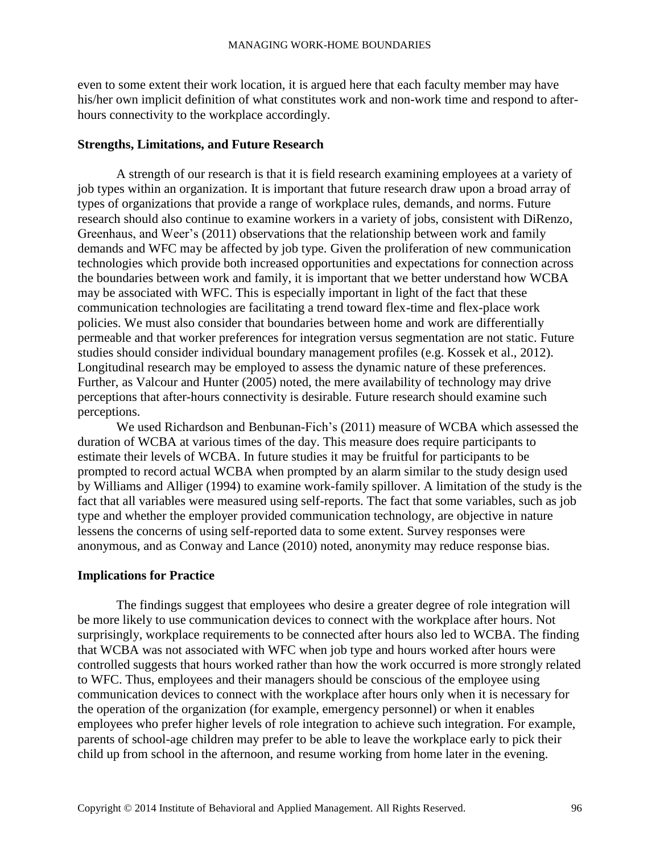even to some extent their work location, it is argued here that each faculty member may have his/her own implicit definition of what constitutes work and non-work time and respond to afterhours connectivity to the workplace accordingly.

# **Strengths, Limitations, and Future Research**

A strength of our research is that it is field research examining employees at a variety of job types within an organization. It is important that future research draw upon a broad array of types of organizations that provide a range of workplace rules, demands, and norms. Future research should also continue to examine workers in a variety of jobs, consistent with DiRenzo, Greenhaus, and Weer's (2011) observations that the relationship between work and family demands and WFC may be affected by job type. Given the proliferation of new communication technologies which provide both increased opportunities and expectations for connection across the boundaries between work and family, it is important that we better understand how WCBA may be associated with WFC. This is especially important in light of the fact that these communication technologies are facilitating a trend toward flex-time and flex-place work policies. We must also consider that boundaries between home and work are differentially permeable and that worker preferences for integration versus segmentation are not static. Future studies should consider individual boundary management profiles (e.g. Kossek et al., 2012). Longitudinal research may be employed to assess the dynamic nature of these preferences. Further, as Valcour and Hunter (2005) noted, the mere availability of technology may drive perceptions that after-hours connectivity is desirable. Future research should examine such perceptions.

We used Richardson and Benbunan-Fich's (2011) measure of WCBA which assessed the duration of WCBA at various times of the day. This measure does require participants to estimate their levels of WCBA. In future studies it may be fruitful for participants to be prompted to record actual WCBA when prompted by an alarm similar to the study design used by Williams and Alliger (1994) to examine work-family spillover. A limitation of the study is the fact that all variables were measured using self-reports. The fact that some variables, such as job type and whether the employer provided communication technology, are objective in nature lessens the concerns of using self-reported data to some extent. Survey responses were anonymous, and as Conway and Lance (2010) noted, anonymity may reduce response bias.

# **Implications for Practice**

The findings suggest that employees who desire a greater degree of role integration will be more likely to use communication devices to connect with the workplace after hours. Not surprisingly, workplace requirements to be connected after hours also led to WCBA. The finding that WCBA was not associated with WFC when job type and hours worked after hours were controlled suggests that hours worked rather than how the work occurred is more strongly related to WFC. Thus, employees and their managers should be conscious of the employee using communication devices to connect with the workplace after hours only when it is necessary for the operation of the organization (for example, emergency personnel) or when it enables employees who prefer higher levels of role integration to achieve such integration. For example, parents of school-age children may prefer to be able to leave the workplace early to pick their child up from school in the afternoon, and resume working from home later in the evening.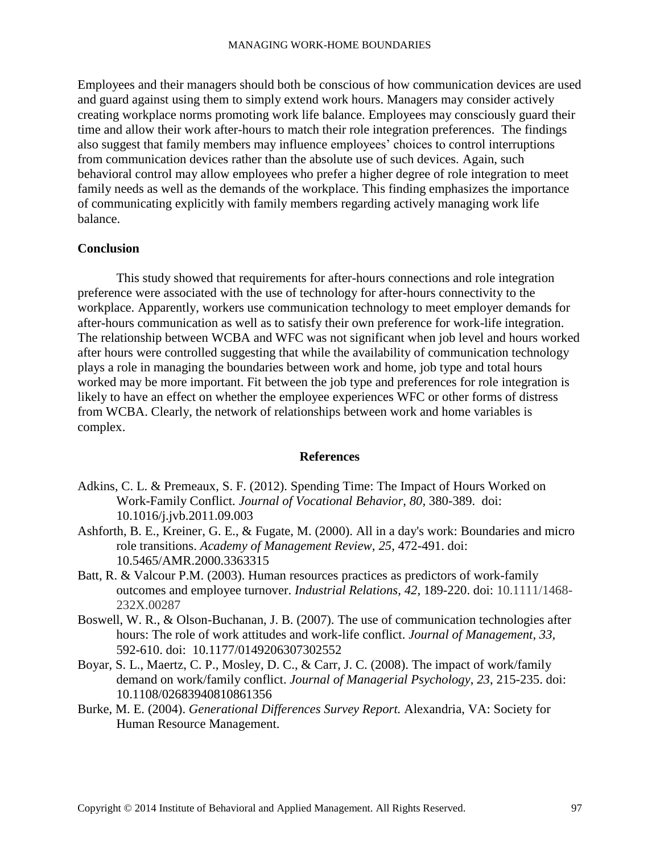Employees and their managers should both be conscious of how communication devices are used and guard against using them to simply extend work hours. Managers may consider actively creating workplace norms promoting work life balance. Employees may consciously guard their time and allow their work after-hours to match their role integration preferences. The findings also suggest that family members may influence employees' choices to control interruptions from communication devices rather than the absolute use of such devices. Again, such behavioral control may allow employees who prefer a higher degree of role integration to meet family needs as well as the demands of the workplace. This finding emphasizes the importance of communicating explicitly with family members regarding actively managing work life balance.

# **Conclusion**

This study showed that requirements for after-hours connections and role integration preference were associated with the use of technology for after-hours connectivity to the workplace. Apparently, workers use communication technology to meet employer demands for after-hours communication as well as to satisfy their own preference for work-life integration. The relationship between WCBA and WFC was not significant when job level and hours worked after hours were controlled suggesting that while the availability of communication technology plays a role in managing the boundaries between work and home, job type and total hours worked may be more important. Fit between the job type and preferences for role integration is likely to have an effect on whether the employee experiences WFC or other forms of distress from WCBA. Clearly, the network of relationships between work and home variables is complex.

### **References**

- Adkins, C. L. & Premeaux, S. F. (2012). Spending Time: The Impact of Hours Worked on Work-Family Conflict. *Journal of Vocational Behavior, 80,* 380-389. doi: 10.1016/j.jvb.2011.09.003
- Ashforth, B. E., Kreiner, G. E., & Fugate, M. (2000). All in a day's work: Boundaries and micro role transitions. *Academy of Management Review*, *25,* 472-491. doi: 10.5465/AMR.2000.3363315
- Batt, R. & Valcour P.M. (2003). Human resources practices as predictors of work-family outcomes and employee turnover. *Industrial Relations*, *42,* 189-220. doi: 10.1111/1468- 232X.00287
- Boswell, W. R., & Olson-Buchanan, J. B. (2007). The use of communication technologies after hours: The role of work attitudes and work-life conflict. *Journal of Management*, *33,*  592-610. doi: 10.1177/0149206307302552
- Boyar, S. L., Maertz, C. P., Mosley, D. C., & Carr, J. C. (2008). The impact of work/family demand on work/family conflict. *Journal of Managerial Psychology*, *23*, 215-235. doi: 10.1108/02683940810861356
- Burke, M. E. (2004). *Generational Differences Survey Report.* Alexandria, VA: Society for Human Resource Management.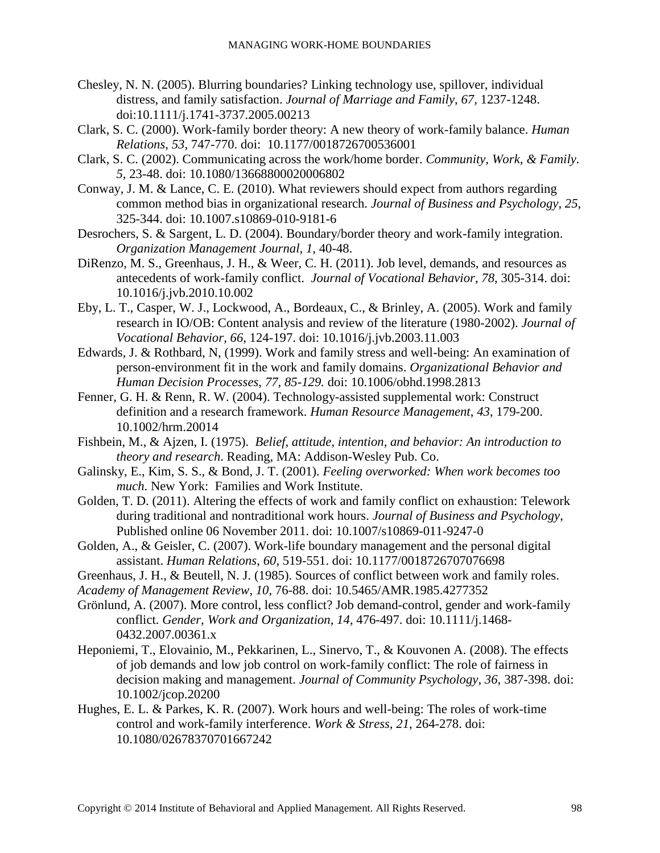- Chesley, N. N. (2005). Blurring boundaries? Linking technology use, spillover, individual distress, and family satisfaction. *Journal of Marriage and Family*, *67,* 1237-1248. doi:10.1111/j.1741-3737.2005.00213
- Clark, S. C. (2000). Work-family border theory: A new theory of work-family balance. *Human Relations*, *53,* 747-770. doi: 10.1177/0018726700536001
- Clark, S. C. (2002). Communicating across the work/home border. *Community, Work, & Family. 5,* 23-48. doi: 10.1080/13668800020006802
- Conway, J. M. & Lance, C. E. (2010). What reviewers should expect from authors regarding common method bias in organizational research. *Journal of Business and Psychology, 25,* 325-344. doi: 10.1007.s10869-010-9181-6
- Desrochers, S. & Sargent, L. D. (2004). Boundary/border theory and work-family integration. *Organization Management Journal, 1,* 40-48.
- DiRenzo, M. S., Greenhaus, J. H., & Weer, C. H. (2011). Job level, demands, and resources as antecedents of work-family conflict. *Journal of Vocational Behavior*, *78*, 305-314. doi: 10.1016/j.jvb.2010.10.002
- Eby, L. T., Casper, W. J., Lockwood, A., Bordeaux, C., & Brinley, A. (2005). Work and family research in IO/OB: Content analysis and review of the literature (1980-2002). *Journal of Vocational Behavior, 66*, 124-197. doi: 10.1016/j.jvb.2003.11.003
- Edwards, J. & Rothbard, N, (1999). Work and family stress and well-being: An examination of person-environment fit in the work and family domains. *Organizational Behavior and Human Decision Processes, 77, 85-129.* doi: 10.1006/obhd.1998.2813
- Fenner, G. H. & Renn, R. W. (2004). Technology-assisted supplemental work: Construct definition and a research framework. *Human Resource Management*, *43*, 179-200. 10.1002/hrm.20014
- Fishbein, M., & Ajzen, I. (1975). *Belief, attitude, intention, and behavior: An introduction to theory and research*. Reading, MA: Addison-Wesley Pub. Co.
- Galinsky, E., Kim, S. S., & Bond, J. T. (2001). *Feeling overworked: When work becomes too much*. New York: Families and Work Institute.
- Golden, T. D. (2011). Altering the effects of work and family conflict on exhaustion: Telework during traditional and nontraditional work hours. *Journal of Business and Psychology*, Published online 06 November 2011. doi: 10.1007/s10869-011-9247-0
- Golden, A., & Geisler, C. (2007). Work-life boundary management and the personal digital assistant. *Human Relations*, *60*, 519-551. doi: 10.1177/0018726707076698
- Greenhaus, J. H., & Beutell, N. J. (1985). Sources of conflict between work and family roles.
- *Academy of Management Review*, *10*, 76-88. doi: 10.5465/AMR.1985.4277352
- Grönlund, A. (2007). More control, less conflict? Job demand-control, gender and work-family conflict. *Gender, Work and Organization, 14*, 476-497. doi: 10.1111/j.1468- 0432.2007.00361.x
- Heponiemi, T., Elovainio, M., Pekkarinen, L., Sinervo, T., & Kouvonen A. (2008). The effects of job demands and low job control on work-family conflict: The role of fairness in decision making and management. *Journal of Community Psychology, 36*, 387-398. doi: 10.1002/jcop.20200
- Hughes, E. L. & Parkes, K. R. (2007). Work hours and well-being: The roles of work-time control and work-family interference. *Work & Stress, 21*, 264-278. doi: 10.1080/02678370701667242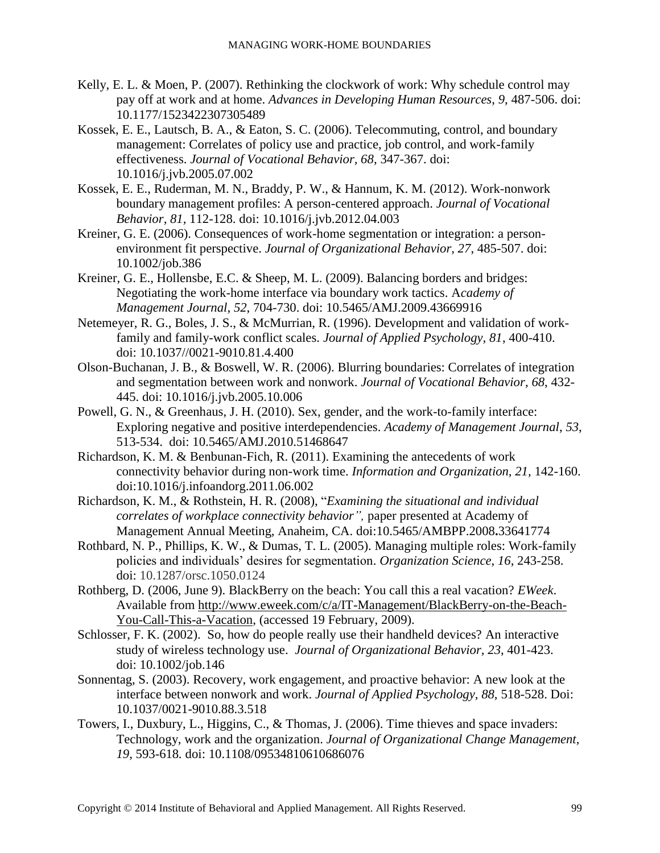- Kelly, E. L. & Moen, P. (2007). Rethinking the clockwork of work: Why schedule control may pay off at work and at home. *Advances in Developing Human Resources*, *9*, 487-506. doi: 10.1177/1523422307305489
- Kossek, E. E., Lautsch, B. A., & Eaton, S. C. (2006). Telecommuting, control, and boundary management: Correlates of policy use and practice, job control, and work-family effectiveness. *Journal of Vocational Behavior, 68*, 347-367. doi: 10.1016/j.jvb.2005.07.002
- Kossek, E. E., Ruderman, M. N., Braddy, P. W., & Hannum, K. M. (2012). Work-nonwork boundary management profiles: A person-centered approach. *Journal of Vocational Behavior, 81,* 112-128. doi: 10.1016/j.jvb.2012.04.003
- Kreiner, G. E. (2006). Consequences of work-home segmentation or integration: a personenvironment fit perspective. *Journal of Organizational Behavior, 27*, 485-507. doi: 10.1002/job.386
- Kreiner, G. E., Hollensbe, E.C. & Sheep, M. L. (2009). Balancing borders and bridges: Negotiating the work-home interface via boundary work tactics. A*cademy of Management Journal, 52*, 704-730. doi: 10.5465/AMJ.2009.43669916
- Netemeyer, R. G., Boles, J. S., & McMurrian, R. (1996). Development and validation of workfamily and family-work conflict scales. *Journal of Applied Psychology, 81*, 400-410. doi: [10.1037//0021-9010.81.4.400](http://dx.doi.org/10.1037/0021-9010.81.4.400)
- Olson-Buchanan, J. B., & Boswell, W. R. (2006). Blurring boundaries: Correlates of integration and segmentation between work and nonwork. *Journal of Vocational Behavior*, *68*, 432- 445. doi: 10.1016/j.jvb.2005.10.006
- Powell, G. N., & Greenhaus, J. H. (2010). Sex, gender, and the work-to-family interface: Exploring negative and positive interdependencies. *Academy of Management Journal*, *53*, 513-534. doi: 10.5465/AMJ.2010.51468647
- Richardson, K. M. & Benbunan-Fich, R. (2011). Examining the antecedents of work connectivity behavior during non-work time. *Information and Organization, 21,* 142-160. doi:10.1016/j.infoandorg.2011.06.002
- Richardson, K. M., & Rothstein, H. R. (2008), "*Examining the situational and individual correlates of workplace connectivity behavior",* paper presented at Academy of Management Annual Meeting, Anaheim, CA. doi:10.5465/AMBPP.2008**.**33641774
- Rothbard, N. P., Phillips, K. W., & Dumas, T. L. (2005). Managing multiple roles: Work-family policies and individuals' desires for segmentation. *Organization Science*, *16*, 243-258. doi: 10.1287/orsc.1050.0124
- Rothberg, D. (2006, June 9). BlackBerry on the beach: You call this a real vacation? *EWeek*. Available from [http://www.eweek.com/c/a/IT-Management/BlackBerry-on-the-Beach-](http://www.eweek.com/c/a/IT-Management/BlackBerry-on-the-Beach-You-Call-This-a-Vacation)[You-Call-This-a-Vacation,](http://www.eweek.com/c/a/IT-Management/BlackBerry-on-the-Beach-You-Call-This-a-Vacation) (accessed 19 February, 2009).
- Schlosser, F. K. (2002). So, how do people really use their handheld devices? An interactive study of wireless technology use. *Journal of Organizational Behavior, 23*, 401-423. doi: 10.1002/job.146
- Sonnentag, S. (2003). Recovery, work engagement, and proactive behavior: A new look at the interface between nonwork and work. *Journal of Applied Psychology*, *88*, 518-528. Doi: 10.1037/0021-9010.88.3.518
- Towers, I., Duxbury, L., Higgins, C., & Thomas, J. (2006). Time thieves and space invaders: Technology, work and the organization. *Journal of Organizational Change Management*, *19,* 593-618*.* doi: [10.1108/09534810610686076](http://dx.doi.org/10.1108/09534810610686076)